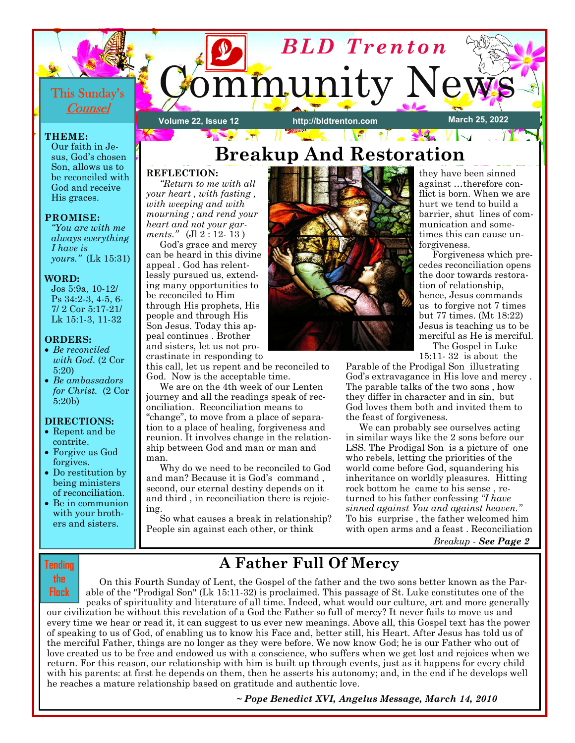

## **REFLECTION:**

be reconciled with God and receive His graces.

*"You are with me always everything* 

*yours."* (Lk 15:31)

Jos 5:9a, 10-12/ Ps 34:2-3, 4-5, 6- 7/ 2 Cor 5:17-21/ Lk 15:1-3, 11-32

• *Be ambassadors for Christ.* (2 Cor

**DIRECTIONS:**  • Repent and be contrite. • Forgive as God forgives. • Do restitution by being ministers of reconciliation. • Be in communion with your brothers and sisters.

**PROMISE:** 

*I have is* 

**WORD:** 

**ORDERS:**  • *Be reconciled with God.* (2 Cor

5:20)

5:20b)

 *"Return to me with all your heart , with fasting , with weeping and with mourning ; and rend your heart and not your garments."* (Jl 2 : 12- 13 )

 God's grace and mercy can be heard in this divine appeal . God has relentlessly pursued us, extending many opportunities to be reconciled to Him through His prophets, His people and through His Son Jesus. Today this appeal continues . Brother and sisters, let us not procrastinate in responding to

this call, let us repent and be reconciled to God. Now is the acceptable time.

 We are on the 4th week of our Lenten journey and all the readings speak of reconciliation. Reconciliation means to "change", to move from a place of separation to a place of healing, forgiveness and reunion. It involves change in the relationship between God and man or man and man.

 Why do we need to be reconciled to God and man? Because it is God's command , second, our eternal destiny depends on it and third , in reconciliation there is rejoicing.

 So what causes a break in relationship? People sin against each other, or think



they have been sinned against …therefore conflict is born. When we are hurt we tend to build a barrier, shut lines of communication and sometimes this can cause unforgiveness.

 Forgiveness which precedes reconciliation opens the door towards restoration of relationship, hence, Jesus commands us to forgive not 7 times but 77 times. (Mt 18:22) Jesus is teaching us to be merciful as He is merciful.

 The Gospel in Luke 15:11- 32 is about the

Parable of the Prodigal Son illustrating God's extravagance in His love and mercy . The parable talks of the two sons , how they differ in character and in sin, but God loves them both and invited them to the feast of forgiveness.

We can probably see ourselves acting in similar ways like the 2 sons before our LSS. The Prodigal Son is a picture of one who rebels, letting the priorities of the world come before God, squandering his inheritance on worldly pleasures. Hitting rock bottom he came to his sense , returned to his father confessing *"I have sinned against You and against heaven."*  To his surprise , the father welcomed him with open arms and a feast . Reconciliation

*Breakup - See Page 2*

## **Tending the**

**Flock** 

**A Father Full Of Mercy** 

 On this Fourth Sunday of Lent, the Gospel of the father and the two sons better known as the Parable of the "Prodigal Son" (Lk 15:11-32) is proclaimed. This passage of St. Luke constitutes one of the peaks of spirituality and literature of all time. Indeed, what would our culture, art and more generally our civilization be without this revelation of a God the Father so full of mercy? It never fails to move us and every time we hear or read it, it can suggest to us ever new meanings. Above all, this Gospel text has the power of speaking to us of God, of enabling us to know his Face and, better still, his Heart. After Jesus has told us of the merciful Father, things are no longer as they were before. We now know God; he is our Father who out of love created us to be free and endowed us with a conscience, who suffers when we get lost and rejoices when we return. For this reason, our relationship with him is built up through events, just as it happens for every child with his parents: at first he depends on them, then he asserts his autonomy; and, in the end if he develops well he reaches a mature relationship based on gratitude and authentic love.

*~ Pope Beneoict XVI, Angelus Message, March 14, 2010*